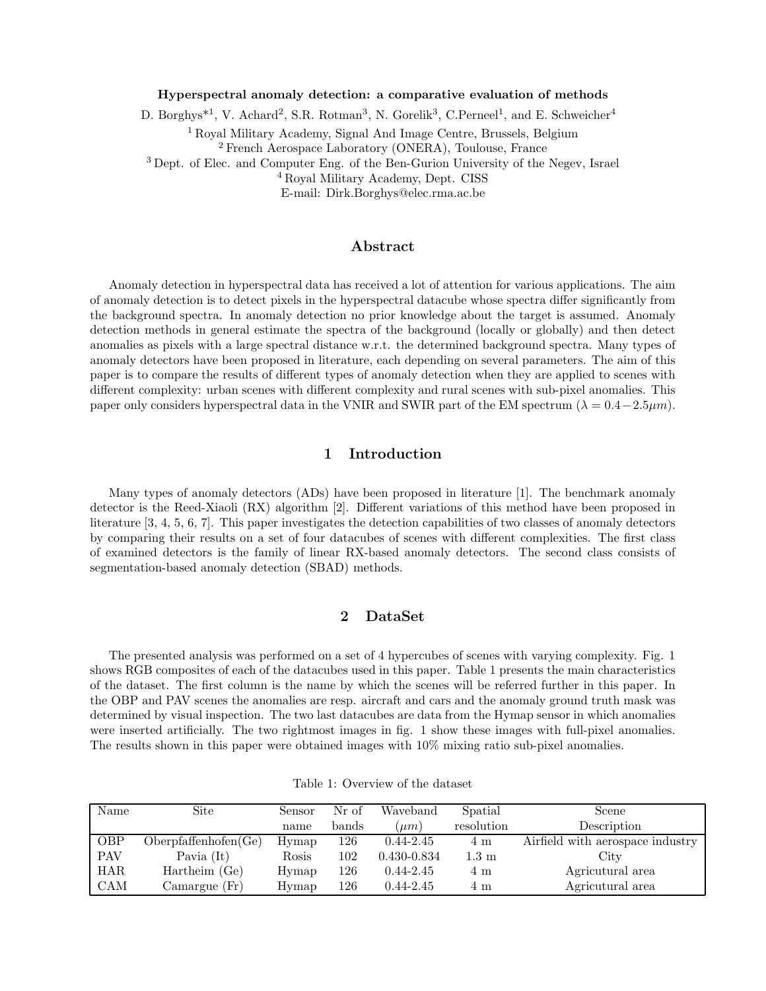#### Hyperspectral anomaly detection: a comparative evaluation of methods

D. Borghys<sup>\*1</sup>, V. Achard<sup>2</sup>, S.R. Rotman<sup>3</sup>, N. Gorelik<sup>3</sup>, C.Perneel<sup>1</sup>, and E. Schweicher<sup>4</sup>

 Royal Military Academy, Signal And Image Centre, Brussels, Belgium French Aerospace Laboratory (ONERA), Toulouse, France Dept. of Elec. and Computer Eng. of the Ben-Gurion University of the Negev, Israel Royal Military Academy, Dept. CISS E-mail: Dirk.Borghys@elec.rma.ac.be

### Abstract

Anomaly detection in hyperspectral data has received a lot of attention for various applications. The aim of anomaly detection is to detect pixels in the hyperspectral datacube whose spectra differ significantly from the background spectra. In anomaly detection no prior knowledge about the target is assumed. Anomaly detection methods in general estimate the spectra of the background (locally or globally) and then detect anomalies as pixels with a large spectral distance w.r.t. the determined background spectra. Many types of anomaly detectors have been proposed in literature, each depending on several parameters. The aim of this paper is to compare the results of different types of anomaly detection when they are applied to scenes with different complexity: urban scenes with different complexity and rural scenes with sub-pixel anomalies. This paper only considers hyperspectral data in the VNIR and SWIR part of the EM spectrum ( $\lambda = 0.4-2.5\mu m$ ).

# 1 Introduction

Many types of anomaly detectors (ADs) have been proposed in literature [1]. The benchmark anomaly detector is the Reed-Xiaoli (RX) algorithm [2]. Different variations of this method have been proposed in literature [3, 4, 5, 6, 7]. This paper investigates the detection capabilities of two classes of anomaly detectors by comparing their results on a set of four datacubes of scenes with different complexities. The first class of examined detectors is the family of linear RX-based anomaly detectors. The second class consists of segmentation-based anomaly detection (SBAD) methods.

# 2 DataSet

The presented analysis was performed on a set of 4 hypercubes of scenes with varying complexity. Fig. 1 shows RGB composites of each of the datacubes used in this paper. Table 1 presents the main characteristics of the dataset. The first column is the name by which the scenes will be referred further in this paper. In the OBP and PAV scenes the anomalies are resp. aircraft and cars and the anomaly ground truth mask was determined by visual inspection. The two last datacubes are data from the Hymap sensor in which anomalies were inserted artificially. The two rightmost images in fig. 1 show these images with full-pixel anomalies. The results shown in this paper were obtained images with 10% mixing ratio sub-pixel anomalies.

| Name       | Site                 | Sensor | Nr of | Waveband      | Spatial             | Scene                            |  |
|------------|----------------------|--------|-------|---------------|---------------------|----------------------------------|--|
|            |                      | name   | bands | $(\mu m)$     | resolution          | Description                      |  |
| OBP        | Oberpfaffenhofen(Ge) | Hymap  | 126   | $0.44 - 2.45$ | 4 m                 | Airfield with aerospace industry |  |
| PAV        | Pavia $(It)$         | Rosis  | 102   | 0.430-0.834   | $1.3 \; \mathrm{m}$ | City                             |  |
| HAR        | Hartheim $(Ge)$      | Hymap  | 126   | $0.44 - 2.45$ | 4 m                 | Agricutural area                 |  |
| <b>CAM</b> | Camargue(Fr)         | Hymap  | 126   | $0.44 - 2.45$ | 4 m                 | Agricutural area                 |  |

Table 1: Overview of the dataset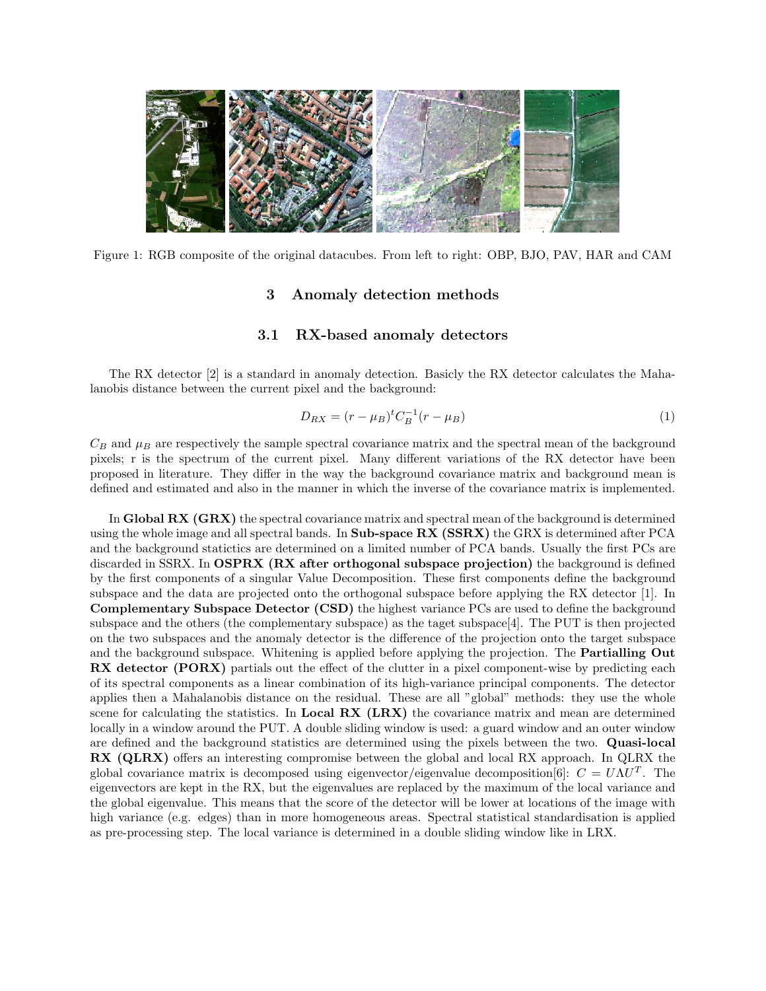

Figure 1: RGB composite of the original datacubes. From left to right: OBP, BJO, PAV, HAR and CAM

### 3 Anomaly detection methods

#### 3.1 RX-based anomaly detectors

The RX detector [2] is a standard in anomaly detection. Basicly the RX detector calculates the Mahalanobis distance between the current pixel and the background:

$$
D_{RX} = (r - \mu_B)^t C_B^{-1} (r - \mu_B)
$$
\n(1)

 $C_B$  and  $\mu_B$  are respectively the sample spectral covariance matrix and the spectral mean of the background pixels; r is the spectrum of the current pixel. Many different variations of the RX detector have been proposed in literature. They differ in the way the background covariance matrix and background mean is defined and estimated and also in the manner in which the inverse of the covariance matrix is implemented.

In Global RX (GRX) the spectral covariance matrix and spectral mean of the background is determined using the whole image and all spectral bands. In  $\text{Sub-space } \mathbf{RX}$  ( $\text{SSRX}$ ) the GRX is determined after PCA and the background statictics are determined on a limited number of PCA bands. Usually the first PCs are discarded in SSRX. In OSPRX (RX after orthogonal subspace projection) the background is defined by the first components of a singular Value Decomposition. These first components define the background subspace and the data are projected onto the orthogonal subspace before applying the RX detector [1]. In Complementary Subspace Detector (CSD) the highest variance PCs are used to define the background subspace and the others (the complementary subspace) as the taget subspace[4]. The PUT is then projected on the two subspaces and the anomaly detector is the difference of the projection onto the target subspace and the background subspace. Whitening is applied before applying the projection. The Partialling Out RX detector (PORX) partials out the effect of the clutter in a pixel component-wise by predicting each of its spectral components as a linear combination of its high-variance principal components. The detector applies then a Mahalanobis distance on the residual. These are all "global" methods: they use the whole scene for calculating the statistics. In **Local RX** (LRX) the covariance matrix and mean are determined locally in a window around the PUT. A double sliding window is used: a guard window and an outer window are defined and the background statistics are determined using the pixels between the two. Quasi-local RX (QLRX) offers an interesting compromise between the global and local RX approach. In QLRX the global covariance matrix is decomposed using eigenvector/eigenvalue decomposition[6]:  $C = U\Lambda U^{T}$ . The eigenvectors are kept in the RX, but the eigenvalues are replaced by the maximum of the local variance and the global eigenvalue. This means that the score of the detector will be lower at locations of the image with high variance (e.g. edges) than in more homogeneous areas. Spectral statistical standardisation is applied as pre-processing step. The local variance is determined in a double sliding window like in LRX.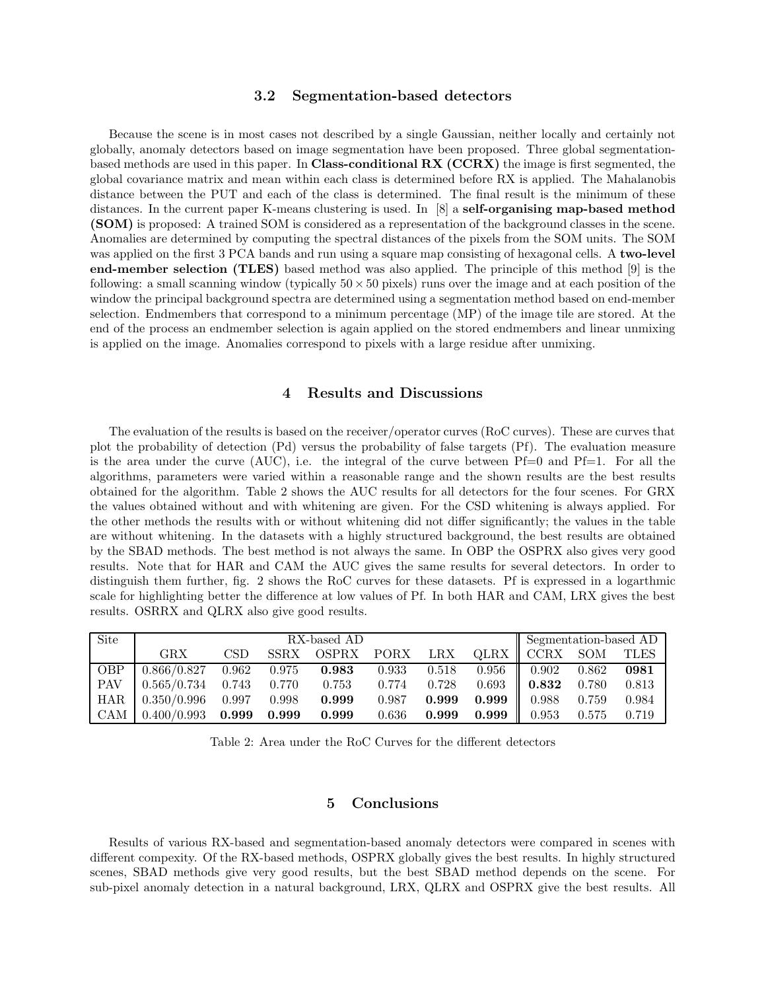### 3.2 Segmentation-based detectors

Because the scene is in most cases not described by a single Gaussian, neither locally and certainly not globally, anomaly detectors based on image segmentation have been proposed. Three global segmentationbased methods are used in this paper. In Class-conditional RX (CCRX) the image is first segmented, the global covariance matrix and mean within each class is determined before RX is applied. The Mahalanobis distance between the PUT and each of the class is determined. The final result is the minimum of these distances. In the current paper K-means clustering is used. In [8] a self-organising map-based method (SOM) is proposed: A trained SOM is considered as a representation of the background classes in the scene. Anomalies are determined by computing the spectral distances of the pixels from the SOM units. The SOM was applied on the first 3 PCA bands and run using a square map consisting of hexagonal cells. A two-level end-member selection (TLES) based method was also applied. The principle of this method [9] is the following: a small scanning window (typically  $50 \times 50$  pixels) runs over the image and at each position of the window the principal background spectra are determined using a segmentation method based on end-member selection. Endmembers that correspond to a minimum percentage (MP) of the image tile are stored. At the end of the process an endmember selection is again applied on the stored endmembers and linear unmixing is applied on the image. Anomalies correspond to pixels with a large residue after unmixing.

#### 4 Results and Discussions

The evaluation of the results is based on the receiver/operator curves (RoC curves). These are curves that plot the probability of detection (Pd) versus the probability of false targets (Pf). The evaluation measure is the area under the curve  $(AUC)$ , i.e. the integral of the curve between  $Pf=0$  and  $Pf=1$ . For all the algorithms, parameters were varied within a reasonable range and the shown results are the best results obtained for the algorithm. Table 2 shows the AUC results for all detectors for the four scenes. For GRX the values obtained without and with whitening are given. For the CSD whitening is always applied. For the other methods the results with or without whitening did not differ significantly; the values in the table are without whitening. In the datasets with a highly structured background, the best results are obtained by the SBAD methods. The best method is not always the same. In OBP the OSPRX also gives very good results. Note that for HAR and CAM the AUC gives the same results for several detectors. In order to distinguish them further, fig. 2 shows the RoC curves for these datasets. Pf is expressed in a logarthmic scale for highlighting better the difference at low values of Pf. In both HAR and CAM, LRX gives the best results. OSRRX and QLRX also give good results.

| Site | RX-based AD                                                                                                                               |                |  |                                        |  |  |                                             |  | Segmentation-based AD |       |  |
|------|-------------------------------------------------------------------------------------------------------------------------------------------|----------------|--|----------------------------------------|--|--|---------------------------------------------|--|-----------------------|-------|--|
|      | <b>GRX</b>                                                                                                                                | $\mathrm{CSD}$ |  | SSRX OSPRX PORX LRX QLRX CCRX SOM TLES |  |  |                                             |  |                       |       |  |
| OBP  | $\begin{array}{cccccc} 0.866/0.827 & 0.962 & 0.975 & \textbf{0.983} & 0.933 & 0.518 & 0.956 & 0.902 & 0.862 & \textbf{0.981} \end{array}$ |                |  |                                        |  |  |                                             |  |                       |       |  |
|      | PAV   $0.565/0.734$ $0.743$ $0.770$ $0.753$ $0.774$ $0.728$ $0.693$ $\parallel$ $0.832$ $0.780$                                           |                |  |                                        |  |  |                                             |  |                       | 0.813 |  |
|      | $HAR$ $0.350/0.996$ $0.997$ $0.998$ $0.999$                                                                                               |                |  |                                        |  |  | $0.987$ 0.999 0.999 0.988 0.759             |  |                       | 0.984 |  |
|      | $\vert$ CAM $\vert$ 0.400/0.993 0.999 0.999 0.999                                                                                         |                |  |                                        |  |  | $0.636$ $0.999$ $0.999$ 0.953 $0.575$ 0.719 |  |                       |       |  |

Table 2: Area under the RoC Curves for the different detectors

#### 5 Conclusions

Results of various RX-based and segmentation-based anomaly detectors were compared in scenes with different compexity. Of the RX-based methods, OSPRX globally gives the best results. In highly structured scenes, SBAD methods give very good results, but the best SBAD method depends on the scene. For sub-pixel anomaly detection in a natural background, LRX, QLRX and OSPRX give the best results. All